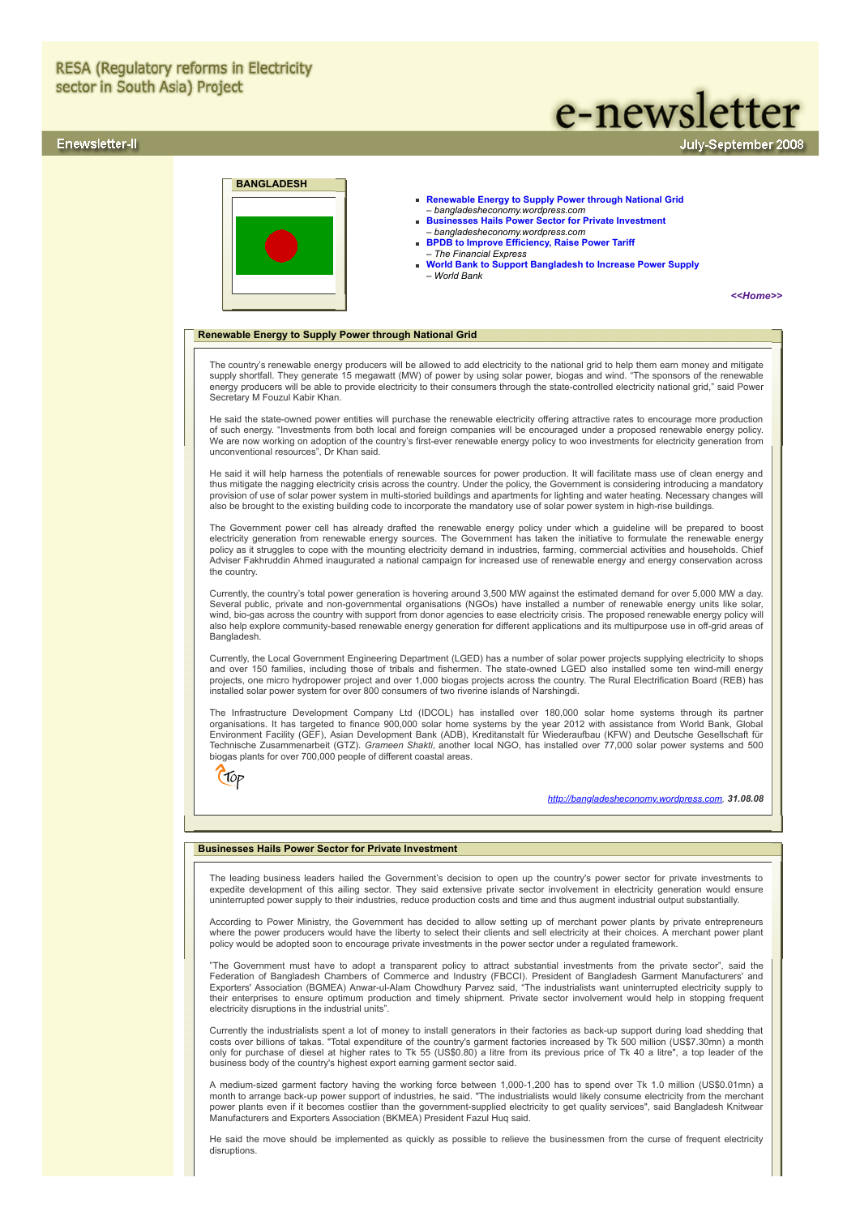# **RESA (Regulatory reforms in Electricity** sector in South Asia) Project

# Enewsletter-II

# **BANGLADESH**

- **[Renewable Energy to Supply Power through National Grid](#page-0-0)** – *bangladesheconomy.wordpress.com*
- **[Businesses Hails Power Sector for Private Investment](#page-0-1)**  *bangladesheconomy.wordpress.com*
- **[BPDB to Improve Efficiency, Raise Power Tariff](#page-1-0)** – *The Financial Express*
- **[World Bank to Support Bangladesh to Increase Power Supply](#page-1-1)** – *World Bank*

*[<<Home>>](file:///D:/KSH/Websites/RESA/RESA-Enews-II.htm)*

July-September 2008

e-newsletter

### <span id="page-0-0"></span>**Renewable Energy to Supply Power through National Grid**

The country's renewable energy producers will be allowed to add electricity to the national grid to help them earn money and mitigate supply shortfall. They generate 15 megawatt (MW) of power by using solar power, biogas and wind. "The sponsors of the renewable energy producers will be able to provide electricity to their consumers through the state-controlled electricity national grid," said Power Secretary M Fouzul Kabir Khan.

He said the state-owned power entities will purchase the renewable electricity offering attractive rates to encourage more production of such energy. "Investments from both local and foreign companies will be encouraged under a proposed renewable energy policy. We are now working on adoption of the country's first-ever renewable energy policy to woo investments for electricity generation from unconventional resources", Dr Khan said.

He said it will help harness the potentials of renewable sources for power production. It will facilitate mass use of clean energy and thus mitigate the nagging electricity crisis across the country. Under the policy, the Government is considering introducing a mandatory<br>provision of use of solar power system in multi-storied buildings and apartments for

The Government power cell has already drafted the renewable energy policy under which a guideline will be prepared to boost<br>electricity generation from renewable energy sources. The Government has taken the initiative to f policy as it struggles to cope with the mounting electricity demand in industries, farming, commercial activities and households. Chief Adviser Fakhruddin Ahmed inaugurated a national campaign for increased use of renewable energy and energy conservation across the country.

Currently, the country's total power generation is hovering around 3,500 MW against the estimated demand for over 5,000 MW a day. Several public, private and non-governmental organisations (NGOs) have installed a number of renewable energy units like solar, wind, bio-gas across the country with support from donor agencies to ease electricity crisis. The proposed renewable energy policy will also help explore community-based renewable energy generation for different applications and its multipurpose use in off-grid areas of **Bangladesh** 

Currently, the Local Government Engineering Department (LGED) has a number of solar power projects supplying electricity to shops<br>and over 150 families, including those of tribals and fishermen. The state-owned LGED also i projects, one micro hydropower project and over 1,000 biogas projects across the country. The Rural Electrification Board (REB) has installed solar power system for over 800 consumers of two riverine islands of Narshingdi.

The Infrastructure Development Company Ltd (IDCOL) has installed over 180,000 solar home systems through its partner organisations. It has targeted to finance 900,000 solar home systems by the year 2012 with assistance from World Bank, Global<br>Environment Facility (GEF), Asian Development Bank (ADB), Kreditanstalt für Wiederaufbau (KFW) a Technische Zusammenarbeit (GTZ). *Grameen Shakti*, another local NGO, has installed over 77,000 solar power systems and 500 biogas plants for over 700,000 people of different coastal areas.

Crop

*[http://bangladesheconomy.wordpress.com](http://bangladesheconomy.wordpress.com/), 31.08.08*

# <span id="page-0-1"></span>**Businesses Hails Power Sector for Private Investment**

The leading business leaders hailed the Government's decision to open up the country's power sector for private investments to expedite development of this ailing sector. They said extensive private sector involvement in electricity generation would ensure uninterrupted power supply to their industries, reduce production costs and time and thus augment industrial output substantially.

According to Power Ministry, the Government has decided to allow setting up of merchant power plants by private entrepreneurs<br>where the power producers would have the liberty to select their clients and sell electricity at policy would be adopted soon to encourage private investments in the power sector under a regulated framework.

"The Government must have to adopt a transparent policy to attract substantial investments from the private sector", said the Federation of Bangladesh Chambers of Commerce and Industry (FBCCI). President of Bangladesh Garment Manufacturers' and<br>Exporters' Association (BGMEA) Anwar-ul-Alam Chowdhury Parvez said, "The industrialists want uninterrup their enterprises to ensure optimum production and timely shipment. Private sector involvement would help in stopping frequent electricity disruptions in the industrial units".

Currently the industrialists spent a lot of money to install generators in their factories as back-up support during load shedding that<br>costs over billions of takas. "Total expenditure of the country's garment factories in only for purchase of diesel at higher rates to Tk 55 (US\$0.80) a litre from its previous price of Tk 40 a litre", a top leader of the business body of the country's highest export earning garment sector said.

A medium-sized garment factory having the working force between 1,000-1,200 has to spend over Tk 1.0 million (US\$0.01mn) a<br>month to arrange back-up power support of industries, he said. "The industrialists would likely con Manufacturers and Exporters Association (BKMEA) President Fazul Huq said.

He said the move should be implemented as quickly as possible to relieve the businessmen from the curse of frequent electricity disruptions.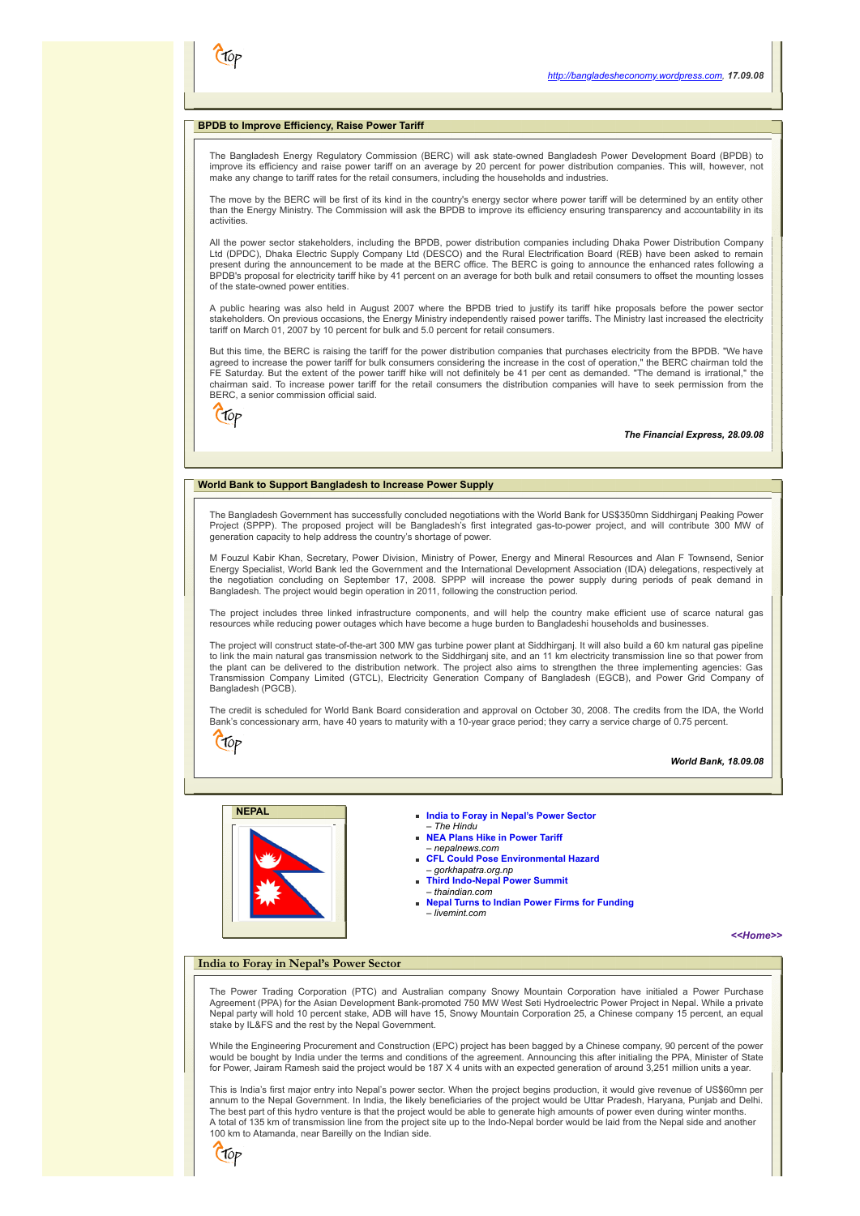# <span id="page-1-0"></span>**BPDB to Improve Efficiency, Raise Power Tariff**

The Bangladesh Energy Regulatory Commission (BERC) will ask state-owned Bangladesh Power Development Board (BPDB) to improve its efficiency and raise power tariff on an average by 20 percent for power distribution companies. This will, however, not make any change to tariff rates for the retail consumers, including the households and industries.

The move by the BERC will be first of its kind in the country's energy sector where power tariff will be determined by an entity other than the Energy Ministry. The Commission will ask the BPDB to improve its efficiency ensuring transparency and accountability in its activities.

All the power sector stakeholders, including the BPDB, power distribution companies including Dhaka Power Distribution Company Ltd (DPDC), Dhaka Electric Supply Company Ltd (DESCO) and the Rural Electrification Board (REB) have been asked to remain present during the announcement to be made at the BERC office. The BERC is going to announce the enhanced rates following a BPDB's proposal for electricity tariff hike by 41 percent on an average for both bulk and retail consumers to offset the mounting losses of the state-owned power entities.

A public hearing was also held in August 2007 where the BPDB tried to justify its tariff hike proposals before the power sector stakeholders. On previous occasions, the Energy Ministry independently raised power tariffs. The Ministry last increased the electricity tariff on March 01, 2007 by 10 percent for bulk and 5.0 percent for retail consumers.

But this time, the BERC is raising the tariff for the power distribution companies that purchases electricity from the BPDB. "We have<br>agreed to increase the power tariff for bulk consumers considering the increase in the c FE Saturday. But the extent of the power tariff hike will not definitely be 41 per cent as demanded. "The demand is irrational," the chairman said. To increase power tariff for the retail consumers the distribution companies will have to seek permission from the BERC, a senior commission official said.



 $C$ for

CT0p

*The Financial Express, 28.09.08*

# <span id="page-1-1"></span>**World Bank to Support Bangladesh to Increase Power Supply**

The Bangladesh Government has successfully concluded negotiations with the World Bank for US\$350mn Siddhirganj Peaking Power Project (SPPP). The proposed project will be Bangladesh's first integrated gas-to-power project, and will contribute 300 MW of generation capacity to help address the country's shortage of power.

M Fouzul Kabir Khan, Secretary, Power Division, Ministry of Power, Energy and Mineral Resources and Alan F Townsend, Senior Energy Specialist, World Bank led the Government and the International Development Association (IDA) delegations, respectively at<br>the negotiation concluding on September 17, 2008. SPPP will increase the power supply during Bangladesh. The project would begin operation in 2011, following the construction period.

The project includes three linked infrastructure components, and will help the country make efficient use of scarce natural gas resources while reducing power outages which have become a huge burden to Bangladeshi households and businesses.

The project will construct state-of-the-art 300 MW gas turbine power plant at Siddhirganj. It will also build a 60 km natural gas pipeline to link the main natural gas transmission network to the Siddhirganj site, and an 11 km electricity transmission line so that power from the plant can be delivered to the distribution network. The project also aims to strengthen the three implementing agencies: Gas<br>Transmission Company Limited (GTCL), Electricity Generation Company of Bangladesh (EGCB), and Bangladesh (PGCB).

The credit is scheduled for World Bank Board consideration and approval on October 30, 2008. The credits from the IDA, the World Bank's concessionary arm, have 40 years to maturity with a 10-year grace period; they carry a service charge of 0.75 percent.

*World Bank, 18.09.08*



# **NEPAL [India to Foray in Nepal's Power Sector](#page-1-2)**

- – *The Hindu* **[NEA Plans Hike in Power Tariff](#page-2-0)**
- *nepalnews.com*
- **[CFL Could Pose Environmental Hazard](#page-2-0)**
- *gorkhapatra.org.np* **[Third Indo-Nepal Power Summit](#page-2-1)**
- *thaindian.com* **[Nepal Turns to Indian Power Firms for Funding](#page-2-2)**
- *livemint.com*

*[<<Home>>](file:///D:/KSH/Websites/RESA/RESA-Enews-II.htm)*

#### <span id="page-1-2"></span>**India to Foray in Nepal's Power Sector**

The Power Trading Corporation (PTC) and Australian company Snowy Mountain Corporation have initialed a Power Purchase<br>Agreement (PPA) for the Asian Development Bank-promoted 750 MW West Seti Hydroelectric Power Project in stake by IL&FS and the rest by the Nepal Government.

While the Engineering Procurement and Construction (EPC) project has been bagged by a Chinese company, 90 percent of the power would be bought by India under the terms and conditions of the agreement. Announcing this after initialing the PPA, Minister of State for Power, Jairam Ramesh said the project would be 187 X 4 units with an expected generation of around 3,251 million units a year.

This is India's first major entry into Nepal's power sector. When the project begins production, it would give revenue of US\$60mn per annum to the Nepal Government. In India, the likely beneficiaries of the project would be Uttar Pradesh, Haryana, Punjab and Delhi. The best part of this hydro venture is that the project would be able to generate high amounts of power even during winter months. A total of 135 km of transmission line from the project site up to the Indo-Nepal border would be laid from the Nepal side and another 100 km to Atamanda, near Bareilly on the Indian side.

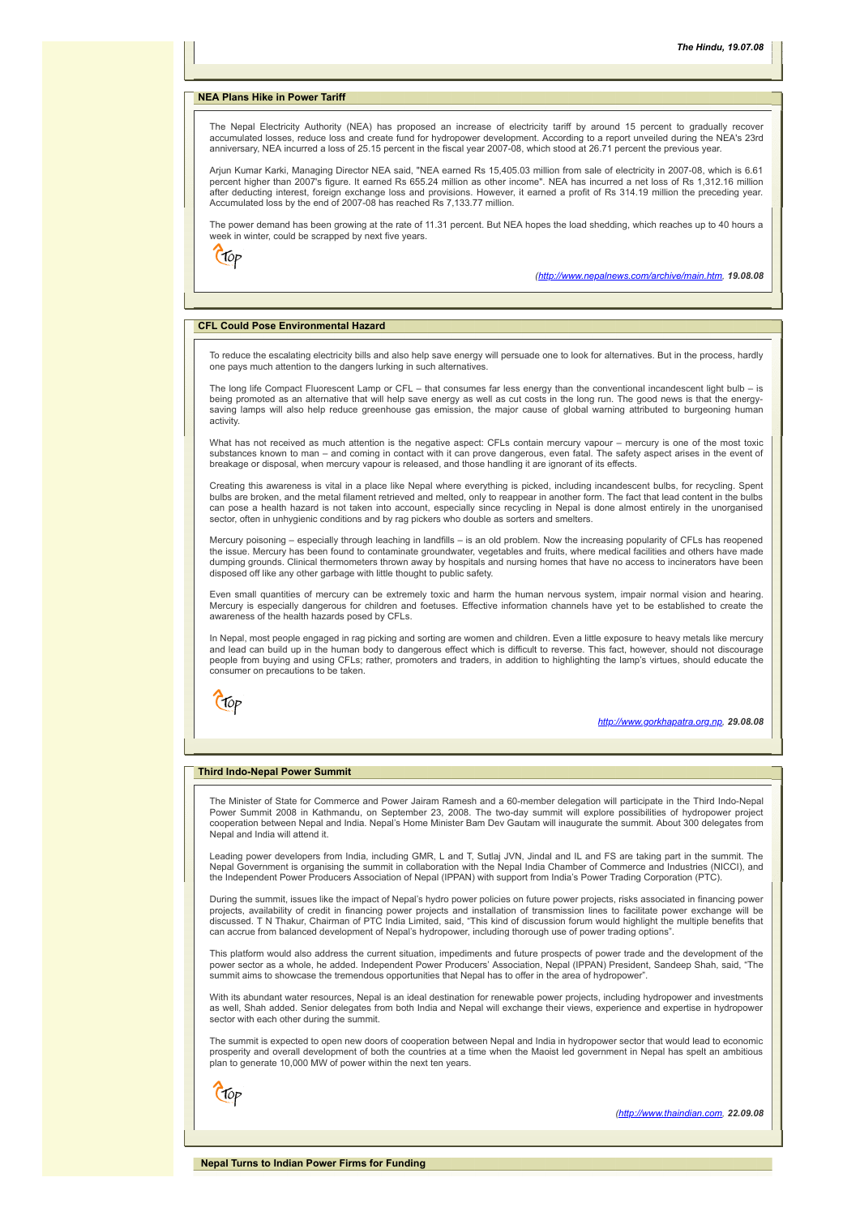#### **NEA Plans Hike in Power Tariff**

The Nepal Electricity Authority (NEA) has proposed an increase of electricity tariff by around 15 percent to gradually recover accumulated losses, reduce loss and create fund for hydropower development. According to a report unveiled during the NEA's 23rd anniversary, NEA incurred a loss of 25.15 percent in the fiscal year 2007-08, which stood at 26.71 percent the previous year.

Arjun Kumar Karki, Managing Director NEA said, "NEA earned Rs 15,405.03 million from sale of electricity in 2007-08, which is 6.61 percent higher than 2007's figure. It earned Rs 655.24 million as other income". NEA has incurred a net loss of Rs 1,312.16 million after deducting interest, foreign exchange loss and provisions. However, it earned a profit of Rs 314.19 million the preceding year.<br>Accumulated loss by the end of 2007-08 has reached Rs 7,133.77 million.

The power demand has been growing at the rate of 11.31 percent. But NEA hopes the load shedding, which reaches up to 40 hours a week in winter, could be scrapped by next five years.

 $C$ fop

*(<http://www.nepalnews.com/archive/main.htm>, 19.08.08*

# <span id="page-2-0"></span>**CFL Could Pose Environmental Hazard**

To reduce the escalating electricity bills and also help save energy will persuade one to look for alternatives. But in the process, hardly one pays much attention to the dangers lurking in such alternatives.

The long life Compact Fluorescent Lamp or CFL – that consumes far less energy than the conventional incandescent light bulb – is being promoted as an alternative that will help save energy as well as cut costs in the long run. The good news is that the energy-<br>saving lamps will also help reduce greenhouse gas emission, the major cause of global warn activity

What has not received as much attention is the negative aspect: CFLs contain mercury vapour – mercury is one of the most toxic substances known to man – and coming in contact with it can prove dangerous, even fatal. The safety aspect arises in the event of breakage or disposal, when mercury vapour is released, and those handling it are ignorant of its effects.

Creating this awareness is vital in a place like Nepal where everything is picked, including incandescent bulbs, for recycling. Spent bulbs are broken, and the metal filament retrieved and melted, only to reappear in another form. The fact that lead content in the bulbs<br>can pose a health hazard is not taken into account, especially since recycling in Nep sector, often in unhygienic conditions and by rag pickers who double as sorters and smelters.

Mercury poisoning – especially through leaching in landfills – is an old problem. Now the increasing popularity of CFLs has reopened the issue. Mercury has been found to contaminate groundwater, vegetables and fruits, where medical facilities and others have made dumping grounds. Clinical thermometers thrown away by hospitals and nursing homes that have no access to incinerators have been disposed off like any other garbage with little thought to public safety.

Even small quantities of mercury can be extremely toxic and harm the human nervous system, impair normal vision and hearing. Mercury is especially dangerous for children and foetuses. Effective information channels have yet to be established to create the awareness of the health hazards posed by CFLs.

In Nepal, most people engaged in rag picking and sorting are women and children. Even a little exposure to heavy metals like mercury and lead can build up in the human body to dangerous effect which is difficult to reverse. This fact, however, should not discourage people from buying and using CFLs; rather, promoters and traders, in addition to highlighting the lamp's virtues, should educate the consumer on precautions to be taken.



*[http://www.gorkhapatra.org.np](http://www.gorkhapatra.org.np/), 29.08.08*

# <span id="page-2-1"></span>**Third Indo-Nepal Power Summit**

The Minister of State for Commerce and Power Jairam Ramesh and a 60-member delegation will participate in the Third Indo-Nepal Power Summit 2008 in Kathmandu, on September 23, 2008. The two-day summit will explore possibilities of hydropower project cooperation between Nepal and India. Nepal's Home Minister Bam Dev Gautam will inaugurate the summit. About 300 delegates from Nepal and India will attend it.

Leading power developers from India, including GMR, L and T, Sutlaj JVN, Jindal and IL and FS are taking part in the summit. The Nepal Government is organising the summit in collaboration with the Nepal India Chamber of Commerce and Industries (NICCI), and the Independent Power Producers Association of Nepal (IPPAN) with support from India's Power Trading Corporation (PTC).

During the summit, issues like the impact of Nepal's hydro power policies on future power projects, risks associated in financing power projects, availability of credit in financing power projects and installation of transmission lines to facilitate power exchange will be<br>discussed. T N Thakur, Chairman of PTC India Limited, said, "This kind of discussion can accrue from balanced development of Nepal's hydropower, including thorough use of power trading options".

This platform would also address the current situation, impediments and future prospects of power trade and the development of the power sector as a whole, he added. Independent Power Producers' Association, Nepal (IPPAN) President, Sandeep Shah, said, "The summit aims to showcase the tremendous opportunities that Nepal has to offer in the area of hydropower".

With its abundant water resources, Nepal is an ideal destination for renewable power projects, including hydropower and investments as well, Shah added. Senior delegates from both India and Nepal will exchange their views, experience and expertise in hydropower sector with each other during the summit.

The summit is expected to open new doors of cooperation between Nepal and India in hydropower sector that would lead to economic prosperity and overall development of both the countries at a time when the Maoist led government in Nepal has spelt an ambitious plan to generate 10,000 MW of power within the next ten years.

<span id="page-2-2"></span>Ctop

*[\(http://www.thaindian.com](http://www.thaindian.com/), 22.09.08*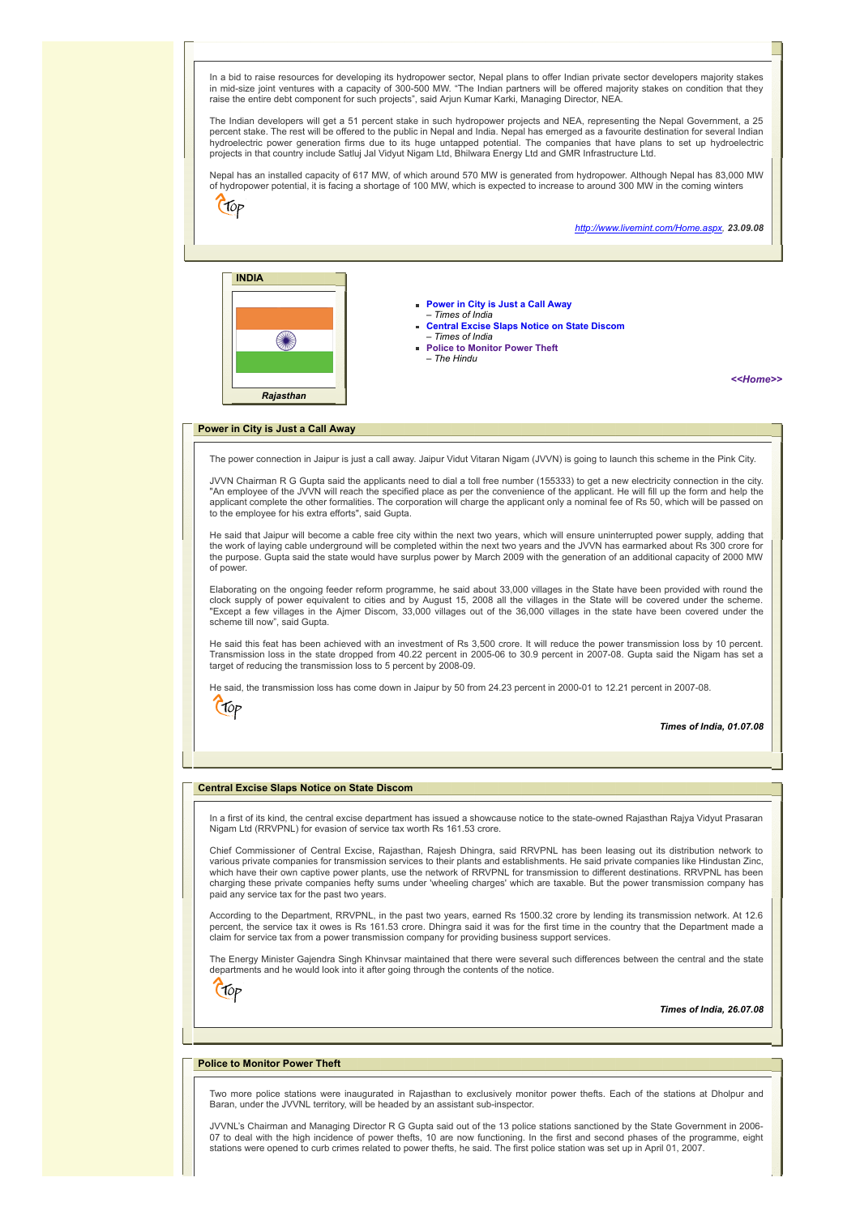In a bid to raise resources for developing its hydropower sector, Nepal plans to offer Indian private sector developers majority stakes in mid-size joint ventures with a capacity of 300-500 MW. "The Indian partners will be offered majority stakes on condition that they raise the entire debt component for such projects", said Arjun Kumar Karki, Managing Director, NEA.

The Indian developers will get a 51 percent stake in such hydropower projects and NEA, representing the Nepal Government, a 25 percent stake. The rest will be offered to the public in Nepal and India. Nepal has emerged as a favourite destination for several Indian<br>hydroelectric power generation firms due to its huge untapped potential. The compani projects in that country include Satluj Jal Vidyut Nigam Ltd, Bhilwara Energy Ltd and GMR Infrastructure Ltd.

Nepal has an installed capacity of 617 MW, of which around 570 MW is generated from hydropower. Although Nepal has 83,000 MW of hydropower potential, it is facing a shortage of 100 MW, which is expected to increase to around 300 MW in the coming winters

 $C$ fop

*<http://www.livemint.com/Home.aspx>, 23.09.08*



- **[Power in City is Just a Call Away](#page-3-0)**  – *Times of India*
- **[Central Excise Slaps Notice on State Discom](#page-3-1)** – *Times of India*
- **[Police to Monitor Power Theft](#page-3-2)**
- *The Hindu*

*[<<Home>>](file:///D:/KSH/Websites/RESA/RESA-Enews-II.htm)*

#### <span id="page-3-0"></span>**Power in City is Just a Call Away**

The power connection in Jaipur is just a call away. Jaipur Vidut Vitaran Nigam (JVVN) is going to launch this scheme in the Pink City.

JVVN Chairman R G Gupta said the applicants need to dial a toll free number (155333) to get a new electricity connection in the city. "An employee of the JVVN will reach the specified place as per the convenience of the applicant. He will fill up the form and help the applicant complete the other formalities. The corporation will charge the applicant only a nominal fee of Rs 50, which will be passed on to the employee for his extra efforts", said Gupta.

He said that Jaipur will become a cable free city within the next two years, which will ensure uninterrupted power supply, adding that the work of laying cable underground will be completed within the next two years and the JVVN has earmarked about Rs 300 crore for the purpose. Gupta said the state would have surplus power by March 2009 with the generation of an additional capacity of 2000 MW of power.

Elaborating on the ongoing feeder reform programme, he said about 33,000 villages in the State have been provided with round the clock supply of power equivalent to cities and by August 15, 2008 all the villages in the State will be covered under the scheme. "Except a few villages in the Ajmer Discom, 33,000 villages out of the 36,000 villages in the state have been covered under the scheme till now", said Gupta.

He said this feat has been achieved with an investment of Rs 3,500 crore. It will reduce the power transmission loss by 10 percent. Transmission loss in the state dropped from 40.22 percent in 2005-06 to 30.9 percent in 2007-08. Gupta said the Nigam has set a target of reducing the transmission loss to 5 percent by 2008-09.

He said, the transmission loss has come down in Jaipur by 50 from 24.23 percent in 2000-01 to 12.21 percent in 2007-08.



# *Times of India, 01.07.08*

# <span id="page-3-1"></span>**Central Excise Slaps Notice on State Discom**

In a first of its kind, the central excise department has issued a showcause notice to the state-owned Rajasthan Rajya Vidyut Prasaran Nigam Ltd (RRVPNL) for evasion of service tax worth Rs 161.53 crore.

Chief Commissioner of Central Excise, Rajasthan, Rajesh Dhingra, said RRVPNL has been leasing out its distribution network to various private companies for transmission services to their plants and establishments. He said private companies like Hindustan Zinc,<br>which have their own captive power plants, use the network of RRVPNL for transmission t charging these private companies hefty sums under 'wheeling charges' which are taxable. But the power transmission company has paid any service tax for the past two years.

According to the Department, RRVPNL, in the past two years, earned Rs 1500.32 crore by lending its transmission network. At 12.6 percent, the service tax it owes is Rs 161.53 crore. Dhingra said it was for the first time in the country that the Department made a claim for service tax from a power transmission company for providing business support services.

The Energy Minister Gajendra Singh Khinvsar maintained that there were several such differences between the central and the state departments and he would look into it after going through the contents of the notice.



# *Times of India, 26.07.08*

# <span id="page-3-2"></span>**Police to Monitor Power Theft**

Two more police stations were inaugurated in Rajasthan to exclusively monitor power thefts. Each of the stations at Dholpur and Baran, under the JVVNL territory, will be headed by an assistant sub-inspector.

JVVNL's Chairman and Managing Director R G Gupta said out of the 13 police stations sanctioned by the State Government in 2006- 07 to deal with the high incidence of power thefts, 10 are now functioning. In the first and second phases of the programme, eight<br>stations were opened to curb crimes related to power thefts, he said. The first police stat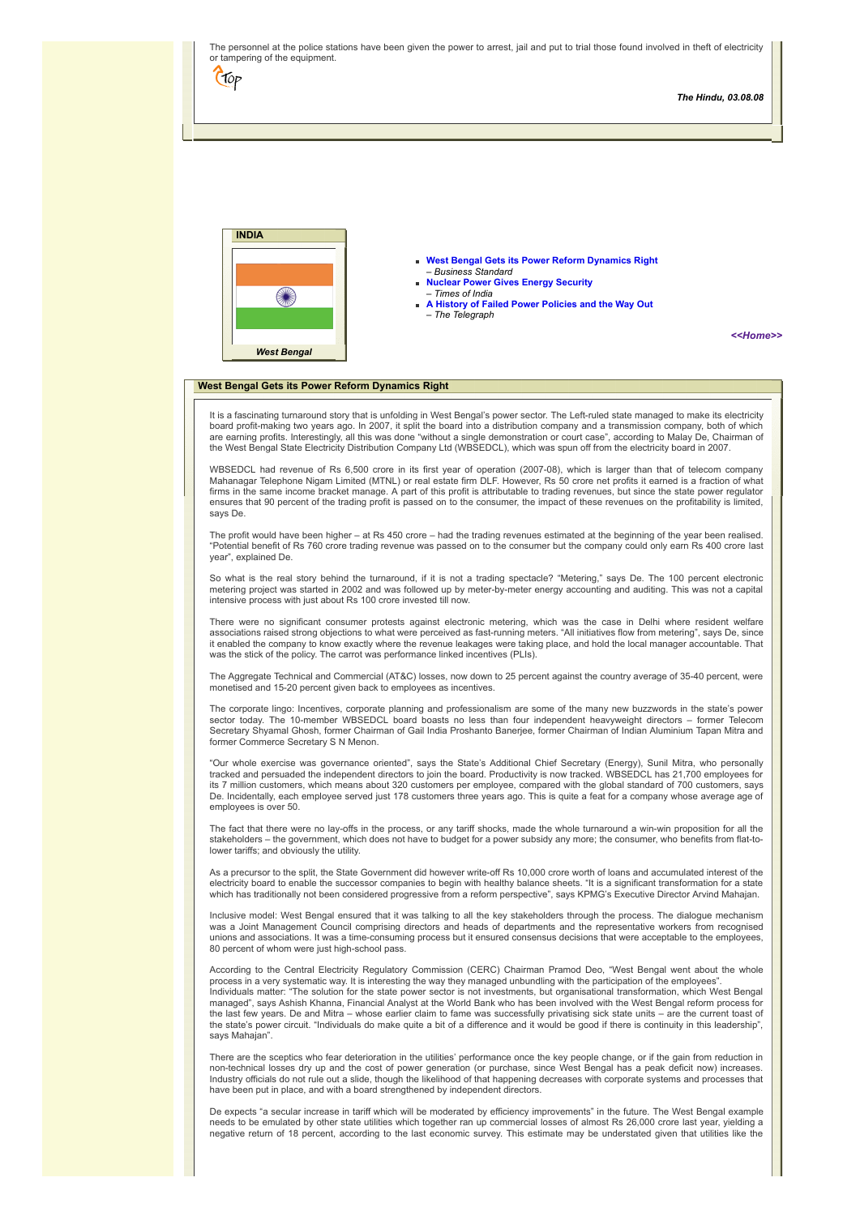<span id="page-4-0"></span>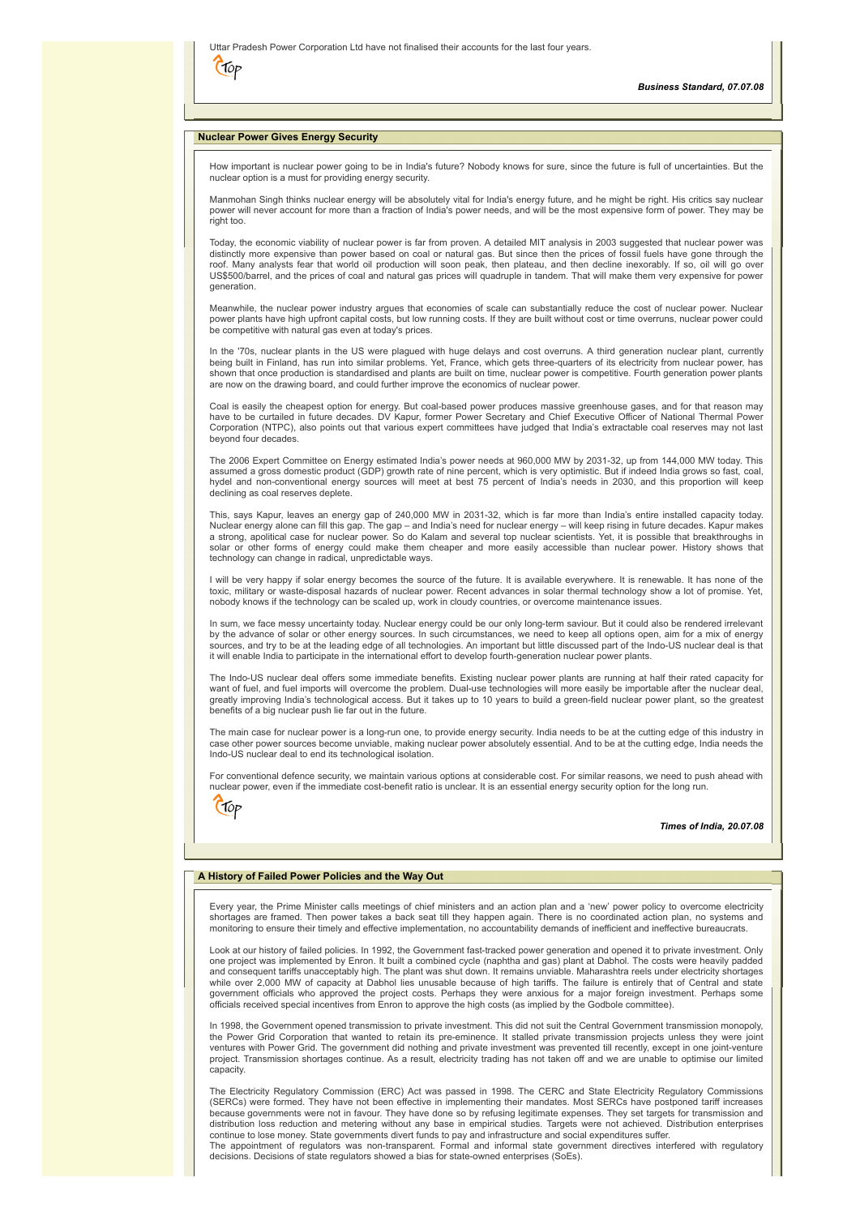|      | Uttar Pradesh Power Corporation Ltd have not finalised their accounts for the last four years. |
|------|------------------------------------------------------------------------------------------------|
| CTOP |                                                                                                |

# <span id="page-5-0"></span>**Nuclear Power Gives Energy Security**

How important is nuclear power going to be in India's future? Nobody knows for sure, since the future is full of uncertainties. But the nuclear option is a must for providing energy security.

Manmohan Singh thinks nuclear energy will be absolutely vital for India's energy future, and he might be right. His critics say nuclear power will never account for more than a fraction of India's power needs, and will be the most expensive form of power. They may be right too.

Today, the economic viability of nuclear power is far from proven. A detailed MIT analysis in 2003 suggested that nuclear power was distinctly more expensive than power based on coal or natural gas. But since then the prices of fossil fuels have gone through the roof. Many analysts fear that world oil production will soon peak, then plateau, and then decline inexorably. If so, oil will go over US\$500/barrel, and the prices of coal and natural gas prices will quadruple in tandem. That will make them very expensive for power generation.

Meanwhile, the nuclear power industry argues that economies of scale can substantially reduce the cost of nuclear power. Nuclear power plants have high upfront capital costs, but low running costs. If they are built without cost or time overruns, nuclear power could be competitive with natural gas even at today's prices.

In the '70s, nuclear plants in the US were plagued with huge delays and cost overruns. A third generation nuclear plant, currently being built in Finland, has run into similar problems. Yet, France, which gets three-quarters of its electricity from nuclear power, has shown that once production is standardised and plants are built on time, nuclear power is competitive. Fourth generation power plants are now on the drawing board, and could further improve the economics of nuclear power.

Coal is easily the cheapest option for energy. But coal-based power produces massive greenhouse gases, and for that reason may have to be curtailed in future decades. DV Kapur, former Power Secretary and Chief Executive Officer of National Thermal Power Corporation (NTPC), also points out that various expert committees have judged that India's extractable coal reserves may not last beyond four decades.

The 2006 Expert Committee on Energy estimated India's power needs at 960,000 MW by 2031-32, up from 144,000 MW today. This<br>assumed a gross domestic product (GDP) growth rate of nine percent, which is very optimistic. But i hydel and non-conventional energy sources will meet at best 75 percent of India's needs in 2030, and this proportion will keep declining as coal reserves deplete.

This, says Kapur, leaves an energy gap of 240,000 MW in 2031-32, which is far more than India's entire installed capacity today. Nuclear energy alone can fill this gap. The gap – and India's need for nuclear energy – will keep rising in future decades. Kapur makes a strong, apolitical case for nuclear power. So do Kalam and several top nuclear scientists. Yet, it is possible that breakthroughs in<br>solar or other forms of energy could make them cheaper and more easily accessible than technology can change in radical, unpredictable ways.

I will be very happy if solar energy becomes the source of the future. It is available everywhere. It is renewable. It has none of the toxic, military or waste-disposal hazards of nuclear power. Recent advances in solar thermal technology show a lot of promise. Yet, nobody knows if the technology can be scaled up, work in cloudy countries, or overcome maintenance issues.

In sum, we face messy uncertainty today. Nuclear energy could be our only long-term saviour. But it could also be rendered irrelevant by the advance of solar or other energy sources. In such circumstances, we need to keep all options open, aim for a mix of energy<br>sources, and try to be at the leading edge of all technologies. An important but little disc it will enable India to participate in the international effort to develop fourth-generation nuclear power plants.

The Indo-US nuclear deal offers some immediate benefits. Existing nuclear power plants are running at half their rated capacity for want of fuel, and fuel imports will overcome the problem. Dual-use technologies will more easily be importable after the nuclear deal, greatly improving India's technological access. But it takes up to 10 years to build a green-field nuclear power plant, so the greatest benefits of a big nuclear push lie far out in the future.

The main case for nuclear power is a long-run one, to provide energy security. India needs to be at the cutting edge of this industry in case other power sources become unviable, making nuclear power absolutely essential. And to be at the cutting edge, India needs the Indo-US nuclear deal to end its technological isolation.

For conventional defence security, we maintain various options at considerable cost. For similar reasons, we need to push ahead with nuclear power, even if the immediate cost-benefit ratio is unclear. It is an essential energy security option for the long run.

|--|--|--|

*Times of India, 20.07.08*

# <span id="page-5-1"></span>**A History of Failed Power Policies and the Way Out**

Every year, the Prime Minister calls meetings of chief ministers and an action plan and a 'new' power policy to overcome electricity shortages are framed. Then power takes a back seat till they happen again. There is no coordinated action plan, no systems and monitoring to ensure their timely and effective implementation, no accountability demands of inefficient and ineffective bureaucrats.

Look at our history of failed policies. In 1992, the Government fast-tracked power generation and opened it to private investment. Only one project was implemented by Enron. It built a combined cycle (naphtha and gas) plant at Dabhol. The costs were heavily padded and consequent tariffs unacceptably high. The plant was shut down. It remains unviable. Maharashtra reels under electricity shortages while over 2,000 MW of capacity at Dabhol lies unusable because of high tariffs. The failure is entirely that of Central and state<br>government officials who approved the project costs. Perhaps they were anxious for a major officials received special incentives from Enron to approve the high costs (as implied by the Godbole committee).

In 1998, the Government opened transmission to private investment. This did not suit the Central Government transmission monopoly, the Power Grid Corporation that wanted to retain its pre-eminence. It stalled private transmission projects unless they were joint ventures with Power Grid. The government did nothing and private investment was prevented till recently, except in one joint-venture project. Transmission shortages continue. As a result, electricity trading has not taken off and we are unable to optimise our limited capacity.

The Electricity Regulatory Commission (ERC) Act was passed in 1998. The CERC and State Electricity Regulatory Commissions (SERCs) were formed. They have not been effective in implementing their mandates. Most SERCs have postponed tariff increases because governments were not in favour. They have done so by refusing legitimate expenses. They set targets for transmission and<br>distribution loss reduction and metering without any base in empirical studies. Targets were The appointment of regulators was non-transparent. Formal and informal state government directives interfered with regulatory

decisions. Decisions of state regulators showed a bias for state-owned enterprises (SoEs).